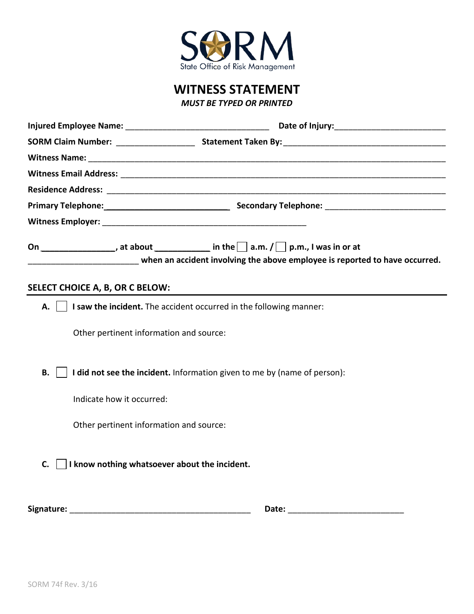

**WITNESS STATEMENT**

*MUST BE TYPED OR PRINTED* 

|                                                                                               | ________________________________ when an accident involving the above employee is reported to have occurred. |
|-----------------------------------------------------------------------------------------------|--------------------------------------------------------------------------------------------------------------|
| SELECT CHOICE A, B, OR C BELOW:                                                               |                                                                                                              |
| $\vert \vert$ <b>I saw the incident.</b> The accident occurred in the following manner:<br>А. |                                                                                                              |
| Other pertinent information and source:                                                       |                                                                                                              |
| I did not see the incident. Information given to me by (name of person):<br>В.                |                                                                                                              |
| Indicate how it occurred:                                                                     |                                                                                                              |
| Other pertinent information and source:                                                       |                                                                                                              |
| I know nothing whatsoever about the incident.<br>C.                                           |                                                                                                              |
|                                                                                               |                                                                                                              |